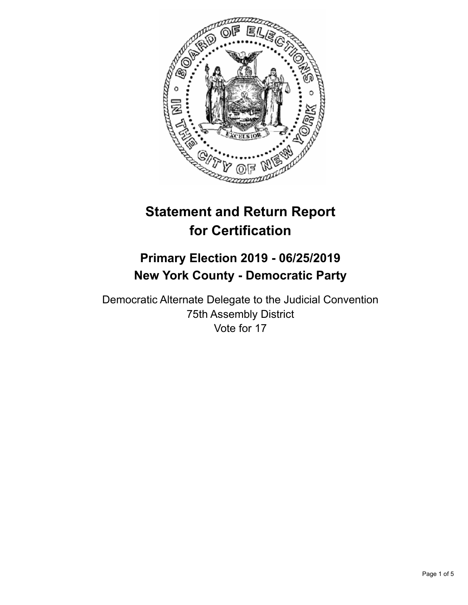

# **Statement and Return Report for Certification**

## **Primary Election 2019 - 06/25/2019 New York County - Democratic Party**

Democratic Alternate Delegate to the Judicial Convention 75th Assembly District Vote for 17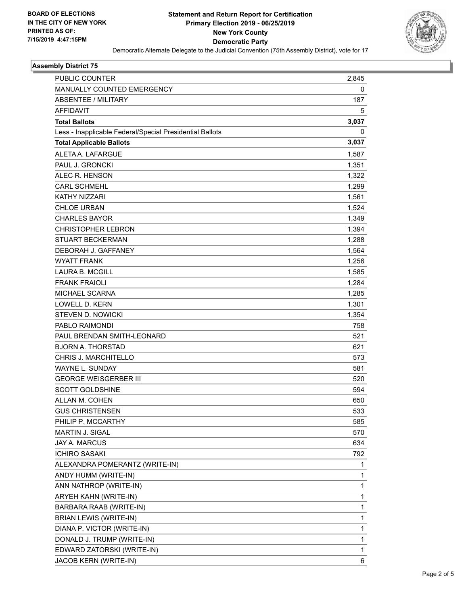

#### **Assembly District 75**

| PUBLIC COUNTER                                           | 2,845        |
|----------------------------------------------------------|--------------|
| <b>MANUALLY COUNTED EMERGENCY</b>                        | 0            |
| <b>ABSENTEE / MILITARY</b>                               | 187          |
| <b>AFFIDAVIT</b>                                         | 5            |
| <b>Total Ballots</b>                                     | 3,037        |
| Less - Inapplicable Federal/Special Presidential Ballots | 0            |
| <b>Total Applicable Ballots</b>                          | 3,037        |
| ALETA A. LAFARGUE                                        | 1,587        |
| PAUL J. GRONCKI                                          | 1,351        |
| ALEC R. HENSON                                           | 1,322        |
| <b>CARL SCHMEHL</b>                                      | 1,299        |
| <b>KATHY NIZZARI</b>                                     | 1,561        |
| CHLOE URBAN                                              | 1,524        |
| <b>CHARLES BAYOR</b>                                     | 1,349        |
| <b>CHRISTOPHER LEBRON</b>                                | 1,394        |
| STUART BECKERMAN                                         | 1,288        |
| DEBORAH J. GAFFANEY                                      | 1,564        |
| <b>WYATT FRANK</b>                                       | 1,256        |
| LAURA B. MCGILL                                          | 1,585        |
| <b>FRANK FRAIOLI</b>                                     | 1,284        |
| <b>MICHAEL SCARNA</b>                                    | 1,285        |
| <b>LOWELL D. KERN</b>                                    | 1,301        |
| <b>STEVEN D. NOWICKI</b>                                 | 1,354        |
| PABLO RAIMONDI                                           | 758          |
| PAUL BRENDAN SMITH-LEONARD                               | 521          |
| <b>BJORN A. THORSTAD</b>                                 | 621          |
| CHRIS J. MARCHITELLO                                     | 573          |
| WAYNE L. SUNDAY                                          | 581          |
| <b>GEORGE WEISGERBER III</b>                             | 520          |
| <b>SCOTT GOLDSHINE</b>                                   | 594          |
| ALLAN M. COHEN                                           | 650          |
| <b>GUS CHRISTENSEN</b>                                   | 533          |
| PHILIP P. MCCARTHY                                       | 585          |
| MARTIN J. SIGAL                                          | 570          |
| <b>JAY A. MARCUS</b>                                     | 634          |
| <b>ICHIRO SASAKI</b>                                     | 792          |
| ALEXANDRA POMERANTZ (WRITE-IN)                           | 1            |
| ANDY HUMM (WRITE-IN)                                     | 1            |
| ANN NATHROP (WRITE-IN)                                   | 1            |
| ARYEH KAHN (WRITE-IN)                                    | 1            |
| BARBARA RAAB (WRITE-IN)                                  | $\mathbf{1}$ |
| <b>BRIAN LEWIS (WRITE-IN)</b>                            | 1            |
| DIANA P. VICTOR (WRITE-IN)                               | 1            |
| DONALD J. TRUMP (WRITE-IN)                               | $\mathbf{1}$ |
| EDWARD ZATORSKI (WRITE-IN)                               | 1            |
| JACOB KERN (WRITE-IN)                                    | 6            |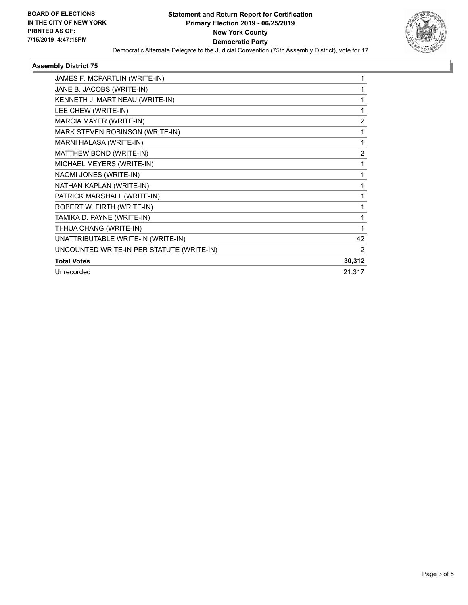

#### **Assembly District 75**

| JAMES F. MCPARTLIN (WRITE-IN)             |                |
|-------------------------------------------|----------------|
| JANE B. JACOBS (WRITE-IN)                 |                |
| KENNETH J. MARTINEAU (WRITE-IN)           | 1              |
| LEE CHEW (WRITE-IN)                       | 1              |
| MARCIA MAYER (WRITE-IN)                   | $\overline{2}$ |
| MARK STEVEN ROBINSON (WRITE-IN)           | 1              |
| MARNI HALASA (WRITE-IN)                   | 1              |
| MATTHEW BOND (WRITE-IN)                   | $\overline{2}$ |
| MICHAEL MEYERS (WRITE-IN)                 | 1              |
| NAOMI JONES (WRITE-IN)                    | 1              |
| NATHAN KAPLAN (WRITE-IN)                  |                |
| PATRICK MARSHALL (WRITE-IN)               |                |
| ROBERT W. FIRTH (WRITE-IN)                | 1              |
| TAMIKA D. PAYNE (WRITE-IN)                | 1              |
| TI-HUA CHANG (WRITE-IN)                   |                |
| UNATTRIBUTABLE WRITE-IN (WRITE-IN)        | 42             |
| UNCOUNTED WRITE-IN PER STATUTE (WRITE-IN) | 2              |
| <b>Total Votes</b>                        | 30,312         |
| Unrecorded                                | 21,317         |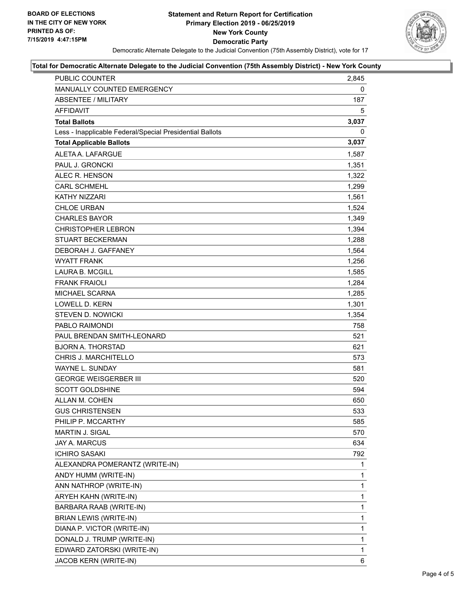

### **Total for Democratic Alternate Delegate to the Judicial Convention (75th Assembly District) - New York County**

| <b>PUBLIC COUNTER</b>                                    | 2,845        |
|----------------------------------------------------------|--------------|
| MANUALLY COUNTED EMERGENCY                               | 0            |
| <b>ABSENTEE / MILITARY</b>                               | 187          |
| <b>AFFIDAVIT</b>                                         | 5            |
| <b>Total Ballots</b>                                     | 3,037        |
| Less - Inapplicable Federal/Special Presidential Ballots | $\mathbf 0$  |
| <b>Total Applicable Ballots</b>                          | 3,037        |
| ALETA A. LAFARGUE                                        | 1,587        |
| PAUL J. GRONCKI                                          | 1,351        |
| ALEC R. HENSON                                           | 1,322        |
| <b>CARL SCHMEHL</b>                                      | 1,299        |
| <b>KATHY NIZZARI</b>                                     | 1,561        |
| <b>CHLOE URBAN</b>                                       | 1,524        |
| <b>CHARLES BAYOR</b>                                     | 1,349        |
| <b>CHRISTOPHER LEBRON</b>                                | 1,394        |
| <b>STUART BECKERMAN</b>                                  | 1,288        |
| DEBORAH J. GAFFANEY                                      | 1,564        |
| <b>WYATT FRANK</b>                                       | 1,256        |
| <b>LAURA B. MCGILL</b>                                   | 1,585        |
| <b>FRANK FRAIOLI</b>                                     | 1,284        |
| <b>MICHAEL SCARNA</b>                                    | 1,285        |
| <b>LOWELL D. KERN</b>                                    | 1,301        |
| STEVEN D. NOWICKI                                        | 1,354        |
| PABLO RAIMONDI                                           | 758          |
| PAUL BRENDAN SMITH-LEONARD                               | 521          |
| <b>BJORN A. THORSTAD</b>                                 | 621          |
| <b>CHRIS J. MARCHITELLO</b>                              | 573          |
| WAYNE L. SUNDAY                                          | 581          |
| <b>GEORGE WEISGERBER III</b>                             | 520          |
| SCOTT GOLDSHINE                                          | 594          |
| ALLAN M. COHEN                                           | 650          |
| <b>GUS CHRISTENSEN</b>                                   | 533          |
| PHILIP P. MCCARTHY                                       | 585          |
| <b>MARTIN J. SIGAL</b>                                   | 570          |
| JAY A. MARCUS                                            | 634          |
| <b>ICHIRO SASAKI</b>                                     | 792          |
| ALEXANDRA POMERANTZ (WRITE-IN)                           | 1            |
| ANDY HUMM (WRITE-IN)                                     | 1            |
| ANN NATHROP (WRITE-IN)                                   | 1            |
| ARYEH KAHN (WRITE-IN)                                    | 1            |
| BARBARA RAAB (WRITE-IN)                                  | 1            |
| BRIAN LEWIS (WRITE-IN)                                   | 1            |
| DIANA P. VICTOR (WRITE-IN)                               | $\mathbf{1}$ |
| DONALD J. TRUMP (WRITE-IN)                               | 1            |
| EDWARD ZATORSKI (WRITE-IN)                               | 1            |
| JACOB KERN (WRITE-IN)                                    | 6            |